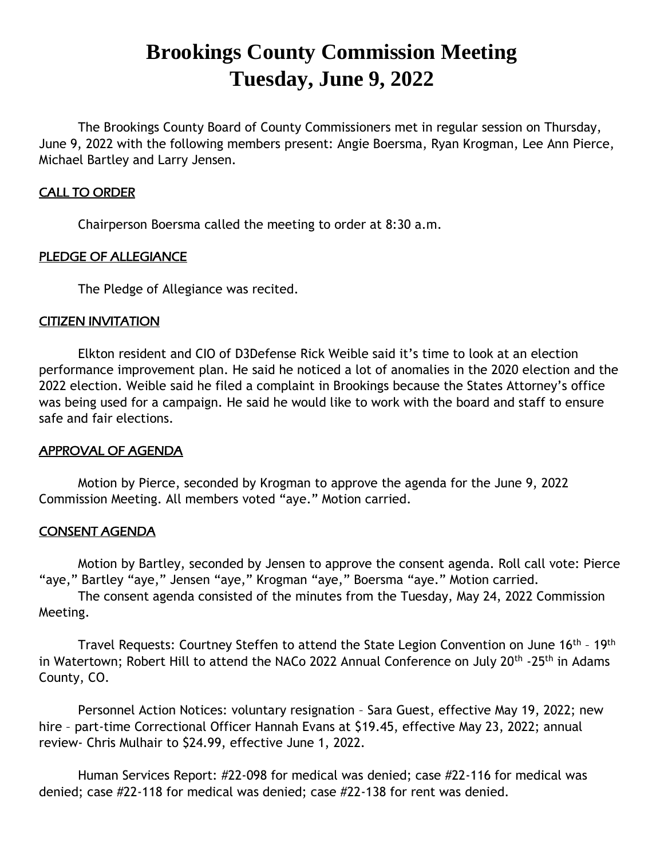# **Brookings County Commission Meeting Tuesday, June 9, 2022**

The Brookings County Board of County Commissioners met in regular session on Thursday, June 9, 2022 with the following members present: Angie Boersma, Ryan Krogman, Lee Ann Pierce, Michael Bartley and Larry Jensen.

# CALL TO ORDER

Chairperson Boersma called the meeting to order at 8:30 a.m.

# PLEDGE OF ALLEGIANCE

The Pledge of Allegiance was recited.

# CITIZEN INVITATION

Elkton resident and CIO of D3Defense Rick Weible said it's time to look at an election performance improvement plan. He said he noticed a lot of anomalies in the 2020 election and the 2022 election. Weible said he filed a complaint in Brookings because the States Attorney's office was being used for a campaign. He said he would like to work with the board and staff to ensure safe and fair elections.

## APPROVAL OF AGENDA

Motion by Pierce, seconded by Krogman to approve the agenda for the June 9, 2022 Commission Meeting. All members voted "aye." Motion carried.

## CONSENT AGENDA

Motion by Bartley, seconded by Jensen to approve the consent agenda. Roll call vote: Pierce "aye," Bartley "aye," Jensen "aye," Krogman "aye," Boersma "aye." Motion carried.

The consent agenda consisted of the minutes from the Tuesday, May 24, 2022 Commission Meeting.

Travel Requests: Courtney Steffen to attend the State Legion Convention on June 16<sup>th</sup> - 19<sup>th</sup> in Watertown; Robert Hill to attend the NACo 2022 Annual Conference on July 20<sup>th</sup> -25<sup>th</sup> in Adams County, CO.

Personnel Action Notices: voluntary resignation – Sara Guest, effective May 19, 2022; new hire – part-time Correctional Officer Hannah Evans at \$19.45, effective May 23, 2022; annual review- Chris Mulhair to \$24.99, effective June 1, 2022.

Human Services Report: #22-098 for medical was denied; case #22-116 for medical was denied; case #22-118 for medical was denied; case #22-138 for rent was denied.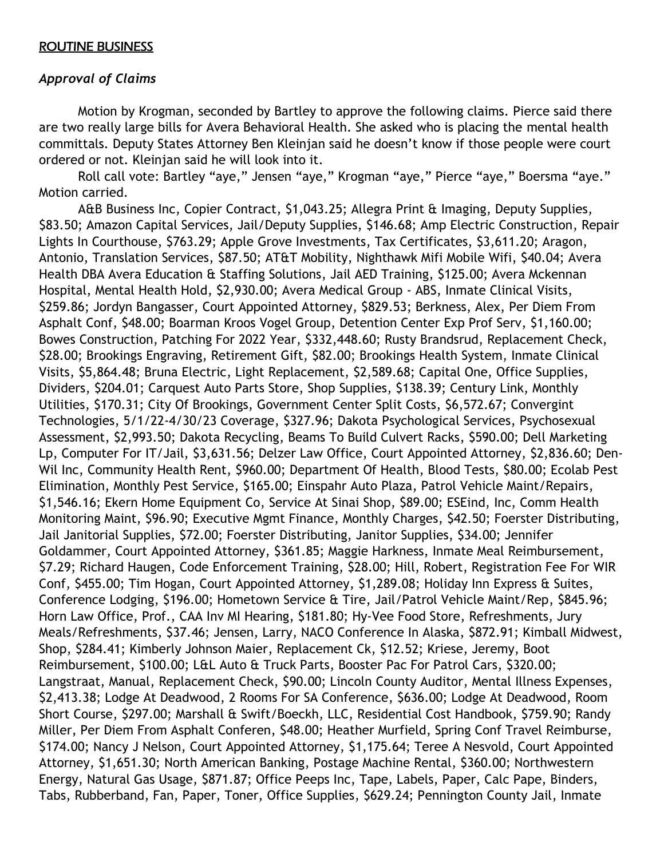# ROUTINE BUSINESS

# *Approval of Claims*

Motion by Krogman, seconded by Bartley to approve the following claims. Pierce said there are two really large bills for Avera Behavioral Health. She asked who is placing the mental health committals. Deputy States Attorney Ben Kleinjan said he doesn't know if those people were court ordered or not. Kleinjan said he will look into it.

Roll call vote: Bartley "aye," Jensen "aye," Krogman "aye," Pierce "aye," Boersma "aye." Motion carried.

A&B Business Inc, Copier Contract, \$1,043.25; Allegra Print & Imaging, Deputy Supplies, \$83.50; Amazon Capital Services, Jail/Deputy Supplies, \$146.68; Amp Electric Construction, Repair Lights In Courthouse, \$763.29; Apple Grove Investments, Tax Certificates, \$3,611.20; Aragon, Antonio, Translation Services, \$87.50; AT&T Mobility, Nighthawk Mifi Mobile Wifi, \$40.04; Avera Health DBA Avera Education & Staffing Solutions, Jail AED Training, \$125.00; Avera Mckennan Hospital, Mental Health Hold, \$2,930.00; Avera Medical Group - ABS, Inmate Clinical Visits, \$259.86; Jordyn Bangasser, Court Appointed Attorney, \$829.53; Berkness, Alex, Per Diem From Asphalt Conf, \$48.00; Boarman Kroos Vogel Group, Detention Center Exp Prof Serv, \$1,160.00; Bowes Construction, Patching For 2022 Year, \$332,448.60; Rusty Brandsrud, Replacement Check, \$28.00; Brookings Engraving, Retirement Gift, \$82.00; Brookings Health System, Inmate Clinical Visits, \$5,864.48; Bruna Electric, Light Replacement, \$2,589.68; Capital One, Office Supplies, Dividers, \$204.01; Carquest Auto Parts Store, Shop Supplies, \$138.39; Century Link, Monthly Utilities, \$170.31; City Of Brookings, Government Center Split Costs, \$6,572.67; Convergint Technologies, 5/1/22-4/30/23 Coverage, \$327.96; Dakota Psychological Services, Psychosexual Assessment, \$2,993.50; Dakota Recycling, Beams To Build Culvert Racks, \$590.00; Dell Marketing Lp, Computer For IT/Jail, \$3,631.56; Delzer Law Office, Court Appointed Attorney, \$2,836.60; Den-Wil Inc, Community Health Rent, \$960.00; Department Of Health, Blood Tests, \$80.00; Ecolab Pest Elimination, Monthly Pest Service, \$165.00; Einspahr Auto Plaza, Patrol Vehicle Maint/Repairs, \$1,546.16; Ekern Home Equipment Co, Service At Sinai Shop, \$89.00; ESEind, Inc, Comm Health Monitoring Maint, \$96.90; Executive Mgmt Finance, Monthly Charges, \$42.50; Foerster Distributing, Jail Janitorial Supplies, \$72.00; Foerster Distributing, Janitor Supplies, \$34.00; Jennifer Goldammer, Court Appointed Attorney, \$361.85; Maggie Harkness, Inmate Meal Reimbursement, \$7.29; Richard Haugen, Code Enforcement Training, \$28.00; Hill, Robert, Registration Fee For WIR Conf, \$455.00; Tim Hogan, Court Appointed Attorney, \$1,289.08; Holiday Inn Express & Suites, Conference Lodging, \$196.00; Hometown Service & Tire, Jail/Patrol Vehicle Maint/Rep, \$845.96; Horn Law Office, Prof., CAA Inv MI Hearing, \$181.80; Hy-Vee Food Store, Refreshments, Jury Meals/Refreshments, \$37.46; Jensen, Larry, NACO Conference In Alaska, \$872.91; Kimball Midwest, Shop, \$284.41; Kimberly Johnson Maier, Replacement Ck, \$12.52; Kriese, Jeremy, Boot Reimbursement, \$100.00; L&L Auto & Truck Parts, Booster Pac For Patrol Cars, \$320.00; Langstraat, Manual, Replacement Check, \$90.00; Lincoln County Auditor, Mental Illness Expenses, \$2,413.38; Lodge At Deadwood, 2 Rooms For SA Conference, \$636.00; Lodge At Deadwood, Room Short Course, \$297.00; Marshall & Swift/Boeckh, LLC, Residential Cost Handbook, \$759.90; Randy Miller, Per Diem From Asphalt Conferen, \$48.00; Heather Murfield, Spring Conf Travel Reimburse, \$174.00; Nancy J Nelson, Court Appointed Attorney, \$1,175.64; Teree A Nesvold, Court Appointed Attorney, \$1,651.30; North American Banking, Postage Machine Rental, \$360.00; Northwestern Energy, Natural Gas Usage, \$871.87; Office Peeps Inc, Tape, Labels, Paper, Calc Pape, Binders, Tabs, Rubberband, Fan, Paper, Toner, Office Supplies, \$629.24; Pennington County Jail, Inmate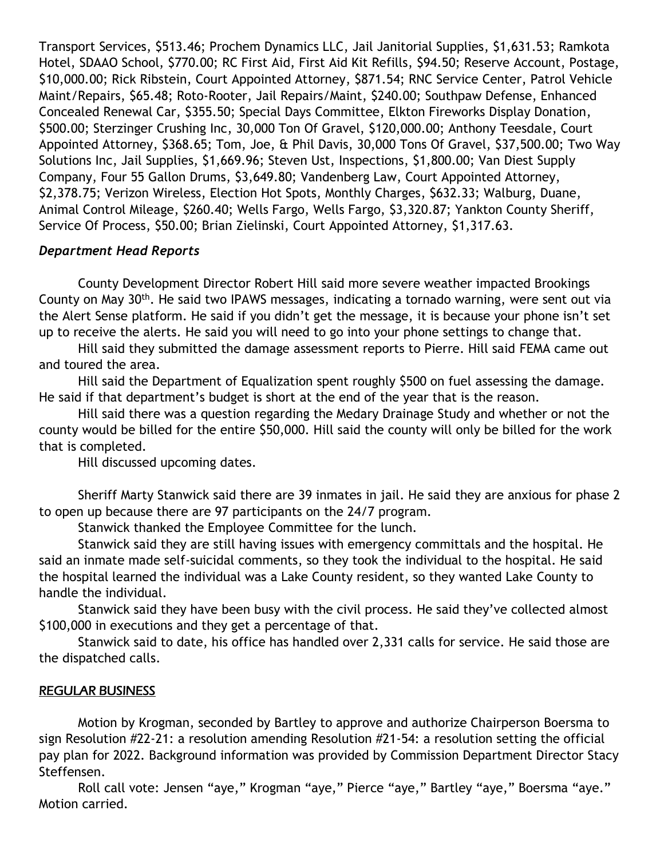Transport Services, \$513.46; Prochem Dynamics LLC, Jail Janitorial Supplies, \$1,631.53; Ramkota Hotel, SDAAO School, \$770.00; RC First Aid, First Aid Kit Refills, \$94.50; Reserve Account, Postage, \$10,000.00; Rick Ribstein, Court Appointed Attorney, \$871.54; RNC Service Center, Patrol Vehicle Maint/Repairs, \$65.48; Roto-Rooter, Jail Repairs/Maint, \$240.00; Southpaw Defense, Enhanced Concealed Renewal Car, \$355.50; Special Days Committee, Elkton Fireworks Display Donation, \$500.00; Sterzinger Crushing Inc, 30,000 Ton Of Gravel, \$120,000.00; Anthony Teesdale, Court Appointed Attorney, \$368.65; Tom, Joe, & Phil Davis, 30,000 Tons Of Gravel, \$37,500.00; Two Way Solutions Inc, Jail Supplies, \$1,669.96; Steven Ust, Inspections, \$1,800.00; Van Diest Supply Company, Four 55 Gallon Drums, \$3,649.80; Vandenberg Law, Court Appointed Attorney, \$2,378.75; Verizon Wireless, Election Hot Spots, Monthly Charges, \$632.33; Walburg, Duane, Animal Control Mileage, \$260.40; Wells Fargo, Wells Fargo, \$3,320.87; Yankton County Sheriff, Service Of Process, \$50.00; Brian Zielinski, Court Appointed Attorney, \$1,317.63.

# *Department Head Reports*

County Development Director Robert Hill said more severe weather impacted Brookings County on May 30th. He said two IPAWS messages, indicating a tornado warning, were sent out via the Alert Sense platform. He said if you didn't get the message, it is because your phone isn't set up to receive the alerts. He said you will need to go into your phone settings to change that.

Hill said they submitted the damage assessment reports to Pierre. Hill said FEMA came out and toured the area.

Hill said the Department of Equalization spent roughly \$500 on fuel assessing the damage. He said if that department's budget is short at the end of the year that is the reason.

Hill said there was a question regarding the Medary Drainage Study and whether or not the county would be billed for the entire \$50,000. Hill said the county will only be billed for the work that is completed.

Hill discussed upcoming dates.

Sheriff Marty Stanwick said there are 39 inmates in jail. He said they are anxious for phase 2 to open up because there are 97 participants on the 24/7 program.

Stanwick thanked the Employee Committee for the lunch.

Stanwick said they are still having issues with emergency committals and the hospital. He said an inmate made self-suicidal comments, so they took the individual to the hospital. He said the hospital learned the individual was a Lake County resident, so they wanted Lake County to handle the individual.

Stanwick said they have been busy with the civil process. He said they've collected almost \$100,000 in executions and they get a percentage of that.

Stanwick said to date, his office has handled over 2,331 calls for service. He said those are the dispatched calls.

# REGULAR BUSINESS

Motion by Krogman, seconded by Bartley to approve and authorize Chairperson Boersma to sign Resolution #22-21: a resolution amending Resolution #21-54: a resolution setting the official pay plan for 2022. Background information was provided by Commission Department Director Stacy Steffensen.

Roll call vote: Jensen "aye," Krogman "aye," Pierce "aye," Bartley "aye," Boersma "aye." Motion carried.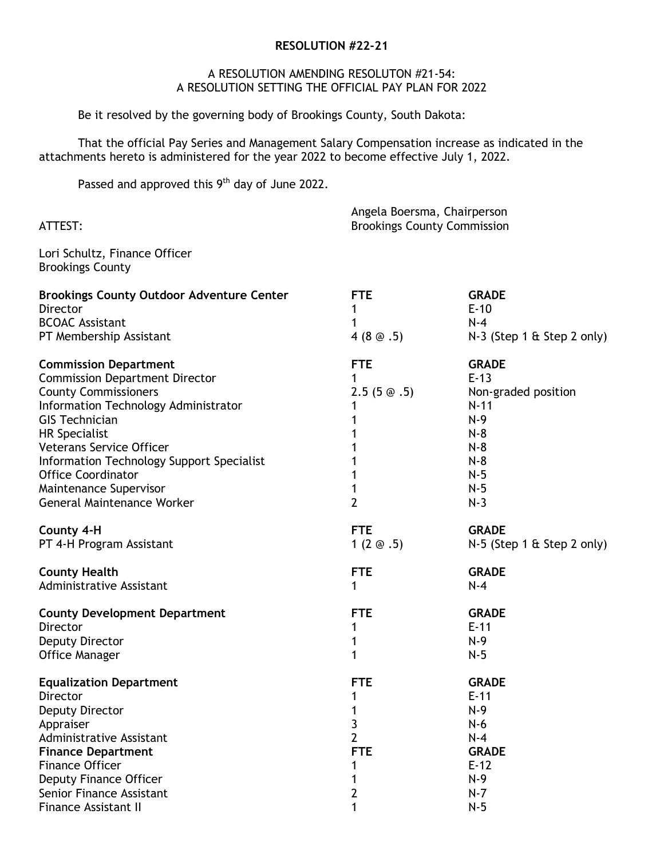#### **RESOLUTION #22-21**

#### A RESOLUTION AMENDING RESOLUTON #21-54: A RESOLUTION SETTING THE OFFICIAL PAY PLAN FOR 2022

Be it resolved by the governing body of Brookings County, South Dakota:

That the official Pay Series and Management Salary Compensation increase as indicated in the attachments hereto is administered for the year 2022 to become effective July 1, 2022.

Passed and approved this 9<sup>th</sup> day of June 2022.

| ATTEST:                                                                                                                                                                                                                                                                                                                                                                   |                                                               | Angela Boersma, Chairperson<br><b>Brookings County Commission</b>                                                      |  |
|---------------------------------------------------------------------------------------------------------------------------------------------------------------------------------------------------------------------------------------------------------------------------------------------------------------------------------------------------------------------------|---------------------------------------------------------------|------------------------------------------------------------------------------------------------------------------------|--|
| Lori Schultz, Finance Officer<br><b>Brookings County</b>                                                                                                                                                                                                                                                                                                                  |                                                               |                                                                                                                        |  |
| <b>Brookings County Outdoor Adventure Center</b><br>Director<br><b>BCOAC Assistant</b><br>PT Membership Assistant                                                                                                                                                                                                                                                         | <b>FTE</b><br>1<br>1<br>4(8@.5)                               | <b>GRADE</b><br>$E-10$<br>$N-4$<br>$N-3$ (Step 1 & Step 2 only)                                                        |  |
| <b>Commission Department</b><br><b>Commission Department Director</b><br><b>County Commissioners</b><br>Information Technology Administrator<br><b>GIS Technician</b><br><b>HR Specialist</b><br><b>Veterans Service Officer</b><br>Information Technology Support Specialist<br><b>Office Coordinator</b><br>Maintenance Supervisor<br><b>General Maintenance Worker</b> | <b>FTE</b><br>1<br>$2.5(5 \circledcirc .5)$<br>$\overline{2}$ | <b>GRADE</b><br>$E-13$<br>Non-graded position<br>$N-11$<br>$N-9$<br>$N-8$<br>$N-8$<br>$N-8$<br>$N-5$<br>$N-5$<br>$N-3$ |  |
| County 4-H<br>PT 4-H Program Assistant                                                                                                                                                                                                                                                                                                                                    | <b>FTE</b><br>1 $(2 \otimes .5)$                              | <b>GRADE</b><br>N-5 (Step 1 & Step 2 only)                                                                             |  |
| <b>County Health</b><br>Administrative Assistant                                                                                                                                                                                                                                                                                                                          | <b>FTE</b><br>1                                               | <b>GRADE</b><br>$N-4$                                                                                                  |  |
| <b>County Development Department</b><br>Director<br>Deputy Director<br><b>Office Manager</b>                                                                                                                                                                                                                                                                              | <b>FTE</b><br>1<br>1<br>1                                     | <b>GRADE</b><br>$E-11$<br>$N-9$<br>$N-5$                                                                               |  |
| <b>Equalization Department</b><br>Director<br>Deputy Director<br>Appraiser<br><b>Administrative Assistant</b><br><b>Finance Department</b><br><b>Finance Officer</b><br>Deputy Finance Officer<br>Senior Finance Assistant                                                                                                                                                | <b>FTE</b><br>3<br>2<br><b>FTE</b><br>2                       | <b>GRADE</b><br>$E-11$<br>$N-9$<br>$N-6$<br>$N-4$<br><b>GRADE</b><br>$E-12$<br>$N-9$<br>$N-7$                          |  |
| <b>Finance Assistant II</b>                                                                                                                                                                                                                                                                                                                                               |                                                               | $N-5$                                                                                                                  |  |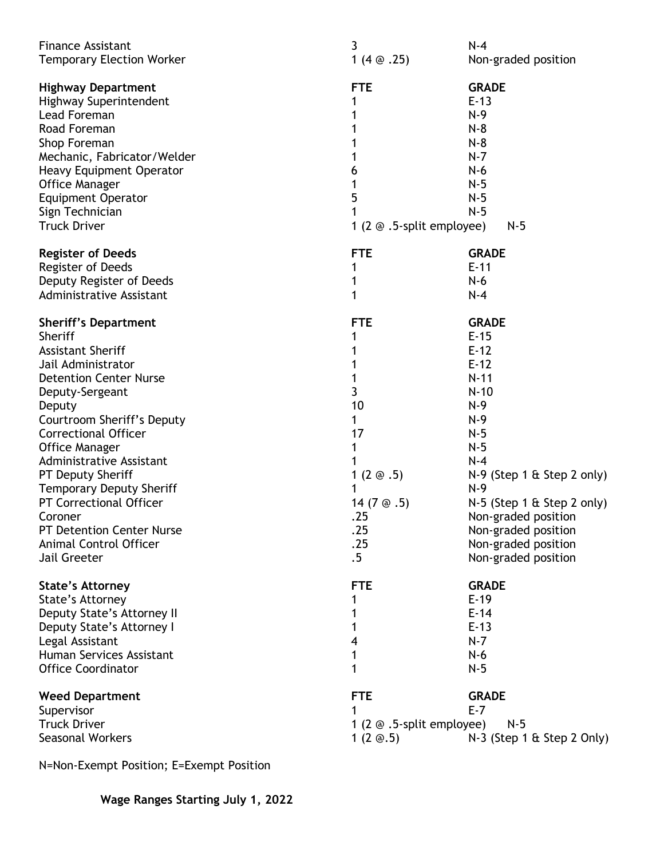| <b>Finance Assistant</b><br><b>Temporary Election Worker</b>                                                                                                                                                                                                                                                                                                                                                                                         | 3<br>1 $(4 \odot .25)$                                                                                                 | $N-4$<br>Non-graded position                                                                                                                                                                                                                                                   |
|------------------------------------------------------------------------------------------------------------------------------------------------------------------------------------------------------------------------------------------------------------------------------------------------------------------------------------------------------------------------------------------------------------------------------------------------------|------------------------------------------------------------------------------------------------------------------------|--------------------------------------------------------------------------------------------------------------------------------------------------------------------------------------------------------------------------------------------------------------------------------|
| <b>Highway Department</b><br>Highway Superintendent<br>Lead Foreman<br>Road Foreman<br>Shop Foreman<br>Mechanic, Fabricator/Welder<br><b>Heavy Equipment Operator</b><br><b>Office Manager</b><br><b>Equipment Operator</b><br>Sign Technician<br><b>Truck Driver</b>                                                                                                                                                                                | <b>FTE</b><br>1<br>6<br>1<br>5<br>1 (2 $\odot$ .5-split employee)                                                      | <b>GRADE</b><br>$E-13$<br>$N-9$<br>$N-8$<br>$N-8$<br>$N-7$<br>$N-6$<br>$N-5$<br>$N-5$<br>$N-5$<br>$N-5$                                                                                                                                                                        |
| <b>Register of Deeds</b><br>Register of Deeds<br>Deputy Register of Deeds<br>Administrative Assistant                                                                                                                                                                                                                                                                                                                                                | <b>FTE</b><br>1<br>1<br>1                                                                                              | <b>GRADE</b><br>$E-11$<br>$N-6$<br>$N-4$                                                                                                                                                                                                                                       |
| <b>Sheriff's Department</b><br>Sheriff<br><b>Assistant Sheriff</b><br>Jail Administrator<br><b>Detention Center Nurse</b><br>Deputy-Sergeant<br>Deputy<br>Courtroom Sheriff's Deputy<br><b>Correctional Officer</b><br><b>Office Manager</b><br>Administrative Assistant<br>PT Deputy Sheriff<br><b>Temporary Deputy Sheriff</b><br>PT Correctional Officer<br>Coroner<br><b>PT Detention Center Nurse</b><br>Animal Control Officer<br>Jail Greeter | <b>FTE</b><br>1<br>1<br>3<br>10<br>1<br>17<br>1<br>1 $(2 \odot .5)$<br>1<br>14 $(7@.5)$<br>.25<br>.25<br>.25<br>$.5\,$ | <b>GRADE</b><br>$E-15$<br>$E-12$<br>$E-12$<br>$N-11$<br>$N-10$<br>$N-9$<br>$N-9$<br>$N-5$<br>$N-5$<br>$N-4$<br>$N-9$ (Step 1 & Step 2 only)<br>$N-9$<br>N-5 (Step 1 & Step 2 only)<br>Non-graded position<br>Non-graded position<br>Non-graded position<br>Non-graded position |
| <b>State's Attorney</b><br>State's Attorney<br>Deputy State's Attorney II<br>Deputy State's Attorney I<br>Legal Assistant<br>Human Services Assistant<br><b>Office Coordinator</b>                                                                                                                                                                                                                                                                   | <b>FTE</b><br>1<br>4<br>1<br>1                                                                                         | <b>GRADE</b><br>$E-19$<br>$E-14$<br>$E-13$<br>$N-7$<br>$N-6$<br>$N-5$                                                                                                                                                                                                          |
| <b>Weed Department</b><br>Supervisor<br><b>Truck Driver</b><br><b>Seasonal Workers</b>                                                                                                                                                                                                                                                                                                                                                               | <b>FTE</b><br>1 (2 $\odot$ .5-split employee)<br>1 $(2 \n\otimes .5)$                                                  | <b>GRADE</b><br>$E - 7$<br>$N-5$<br>N-3 (Step 1 & Step 2 Only)                                                                                                                                                                                                                 |

N=Non-Exempt Position; E=Exempt Position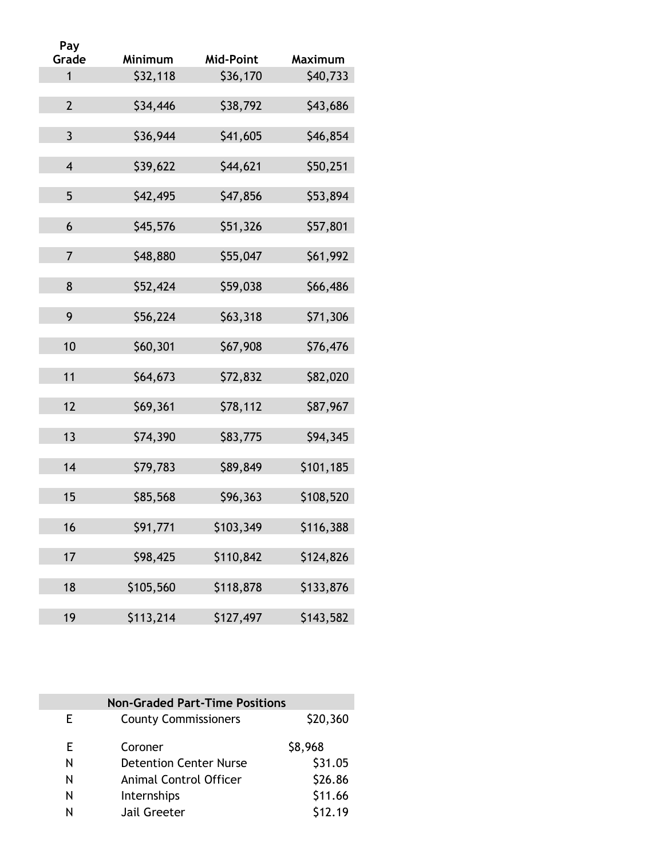| Pay            |           |                  |                |
|----------------|-----------|------------------|----------------|
| Grade          | Minimum   | <b>Mid-Point</b> | <b>Maximum</b> |
| $\mathbf{1}$   | \$32,118  | \$36,170         | \$40,733       |
| $\overline{2}$ | \$34,446  | \$38,792         | \$43,686       |
| 3              | \$36,944  | \$41,605         | \$46,854       |
| $\overline{4}$ | \$39,622  | \$44,621         | \$50,251       |
| 5              | \$42,495  | \$47,856         | \$53,894       |
| 6              | \$45,576  | \$51,326         | \$57,801       |
| $\overline{7}$ | \$48,880  | \$55,047         | \$61,992       |
| 8              | \$52,424  | \$59,038         | \$66,486       |
| 9              | \$56,224  | \$63,318         | \$71,306       |
| 10             | \$60,301  | \$67,908         | \$76,476       |
| 11             | \$64,673  | \$72,832         | \$82,020       |
| 12             | \$69,361  | \$78,112         | \$87,967       |
| 13             | \$74,390  | \$83,775         | \$94,345       |
| 14             | \$79,783  | \$89,849         | \$101,185      |
| 15             | \$85,568  | \$96,363         | \$108,520      |
| 16             | \$91,771  | \$103,349        | \$116,388      |
| 17             | \$98,425  | \$110,842        | \$124,826      |
| 18             | \$105,560 | \$118,878        | \$133,876      |
| 19             | \$113,214 | \$127,497        | \$143,582      |

| <b>Non-Graded Part-Time Positions</b> |                               |          |  |  |
|---------------------------------------|-------------------------------|----------|--|--|
| F.                                    | <b>County Commissioners</b>   | \$20,360 |  |  |
| E                                     | Coroner                       | \$8,968  |  |  |
| N                                     | <b>Detention Center Nurse</b> | \$31.05  |  |  |
| N                                     | <b>Animal Control Officer</b> | \$26.86  |  |  |
| N                                     | Internships                   | \$11.66  |  |  |
| N                                     | Jail Greeter                  | \$12.19  |  |  |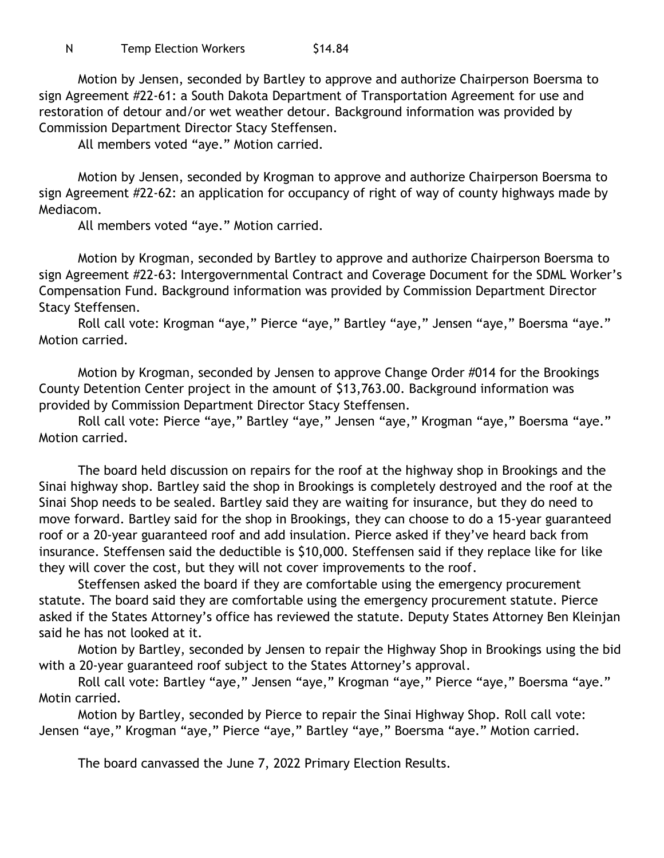Motion by Jensen, seconded by Bartley to approve and authorize Chairperson Boersma to sign Agreement #22-61: a South Dakota Department of Transportation Agreement for use and restoration of detour and/or wet weather detour. Background information was provided by Commission Department Director Stacy Steffensen.

All members voted "aye." Motion carried.

Motion by Jensen, seconded by Krogman to approve and authorize Chairperson Boersma to sign Agreement #22-62: an application for occupancy of right of way of county highways made by Mediacom.

All members voted "aye." Motion carried.

Motion by Krogman, seconded by Bartley to approve and authorize Chairperson Boersma to sign Agreement #22-63: Intergovernmental Contract and Coverage Document for the SDML Worker's Compensation Fund. Background information was provided by Commission Department Director Stacy Steffensen.

Roll call vote: Krogman "aye," Pierce "aye," Bartley "aye," Jensen "aye," Boersma "aye." Motion carried.

Motion by Krogman, seconded by Jensen to approve Change Order #014 for the Brookings County Detention Center project in the amount of \$13,763.00. Background information was provided by Commission Department Director Stacy Steffensen.

Roll call vote: Pierce "aye," Bartley "aye," Jensen "aye," Krogman "aye," Boersma "aye." Motion carried.

The board held discussion on repairs for the roof at the highway shop in Brookings and the Sinai highway shop. Bartley said the shop in Brookings is completely destroyed and the roof at the Sinai Shop needs to be sealed. Bartley said they are waiting for insurance, but they do need to move forward. Bartley said for the shop in Brookings, they can choose to do a 15-year guaranteed roof or a 20-year guaranteed roof and add insulation. Pierce asked if they've heard back from insurance. Steffensen said the deductible is \$10,000. Steffensen said if they replace like for like they will cover the cost, but they will not cover improvements to the roof.

Steffensen asked the board if they are comfortable using the emergency procurement statute. The board said they are comfortable using the emergency procurement statute. Pierce asked if the States Attorney's office has reviewed the statute. Deputy States Attorney Ben Kleinjan said he has not looked at it.

Motion by Bartley, seconded by Jensen to repair the Highway Shop in Brookings using the bid with a 20-year guaranteed roof subject to the States Attorney's approval.

Roll call vote: Bartley "aye," Jensen "aye," Krogman "aye," Pierce "aye," Boersma "aye." Motin carried.

Motion by Bartley, seconded by Pierce to repair the Sinai Highway Shop. Roll call vote: Jensen "aye," Krogman "aye," Pierce "aye," Bartley "aye," Boersma "aye." Motion carried.

The board canvassed the June 7, 2022 Primary Election Results.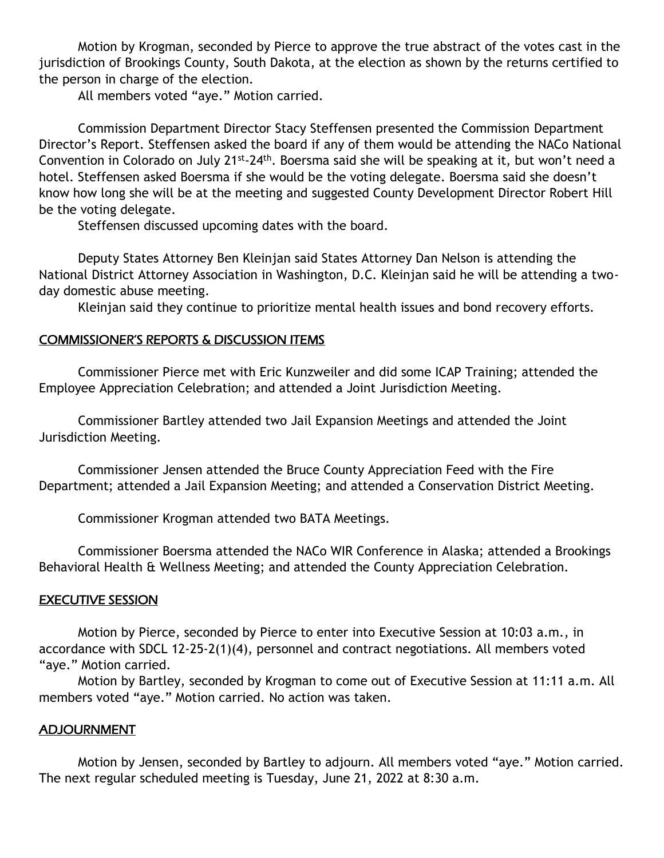Motion by Krogman, seconded by Pierce to approve the true abstract of the votes cast in the jurisdiction of Brookings County, South Dakota, at the election as shown by the returns certified to the person in charge of the election.

All members voted "aye." Motion carried.

Commission Department Director Stacy Steffensen presented the Commission Department Director's Report. Steffensen asked the board if any of them would be attending the NACo National Convention in Colorado on July 21<sup>st</sup>-24<sup>th</sup>. Boersma said she will be speaking at it, but won't need a hotel. Steffensen asked Boersma if she would be the voting delegate. Boersma said she doesn't know how long she will be at the meeting and suggested County Development Director Robert Hill be the voting delegate.

Steffensen discussed upcoming dates with the board.

Deputy States Attorney Ben Kleinjan said States Attorney Dan Nelson is attending the National District Attorney Association in Washington, D.C. Kleinjan said he will be attending a twoday domestic abuse meeting.

Kleinjan said they continue to prioritize mental health issues and bond recovery efforts.

# COMMISSIONER'S REPORTS & DISCUSSION ITEMS

Commissioner Pierce met with Eric Kunzweiler and did some ICAP Training; attended the Employee Appreciation Celebration; and attended a Joint Jurisdiction Meeting.

Commissioner Bartley attended two Jail Expansion Meetings and attended the Joint Jurisdiction Meeting.

Commissioner Jensen attended the Bruce County Appreciation Feed with the Fire Department; attended a Jail Expansion Meeting; and attended a Conservation District Meeting.

Commissioner Krogman attended two BATA Meetings.

Commissioner Boersma attended the NACo WIR Conference in Alaska; attended a Brookings Behavioral Health & Wellness Meeting; and attended the County Appreciation Celebration.

## EXECUTIVE SESSION

Motion by Pierce, seconded by Pierce to enter into Executive Session at 10:03 a.m., in accordance with SDCL 12-25-2(1)(4), personnel and contract negotiations. All members voted "aye." Motion carried.

Motion by Bartley, seconded by Krogman to come out of Executive Session at 11:11 a.m. All members voted "aye." Motion carried. No action was taken.

## ADJOURNMENT

Motion by Jensen, seconded by Bartley to adjourn. All members voted "aye." Motion carried. The next regular scheduled meeting is Tuesday, June 21, 2022 at 8:30 a.m.